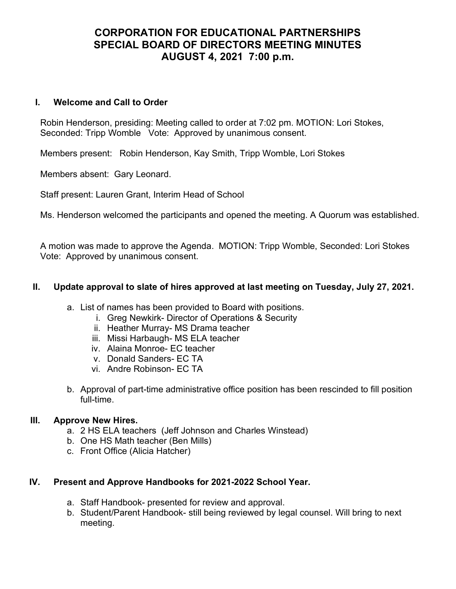# CORPORATION FOR EDUCATIONAL PARTNERSHIPS SPECIAL BOARD OF DIRECTORS MEETING MINUTES AUGUST 4, 2021 7:00 p.m.

## I. Welcome and Call to Order

Robin Henderson, presiding: Meeting called to order at 7:02 pm. MOTION: Lori Stokes, Seconded: Tripp Womble Vote: Approved by unanimous consent.

Members present: Robin Henderson, Kay Smith, Tripp Womble, Lori Stokes

Members absent: Gary Leonard.

Staff present: Lauren Grant, Interim Head of School

Ms. Henderson welcomed the participants and opened the meeting. A Quorum was established.

A motion was made to approve the Agenda. MOTION: Tripp Womble, Seconded: Lori Stokes Vote: Approved by unanimous consent.

## II. Update approval to slate of hires approved at last meeting on Tuesday, July 27, 2021.

- a. List of names has been provided to Board with positions.
	- i. Greg Newkirk- Director of Operations & Security
	- ii. Heather Murray- MS Drama teacher
	- iii. Missi Harbaugh- MS ELA teacher
	- iv. Alaina Monroe- EC teacher
	- v. Donald Sanders- EC TA
	- vi. Andre Robinson- EC TA
- b. Approval of part-time administrative office position has been rescinded to fill position full-time.

# III. Approve New Hires.

- a. 2 HS ELA teachers (Jeff Johnson and Charles Winstead)
- b. One HS Math teacher (Ben Mills)
- c. Front Office (Alicia Hatcher)

# IV. Present and Approve Handbooks for 2021-2022 School Year.

- a. Staff Handbook- presented for review and approval.
- b. Student/Parent Handbook- still being reviewed by legal counsel. Will bring to next meeting.